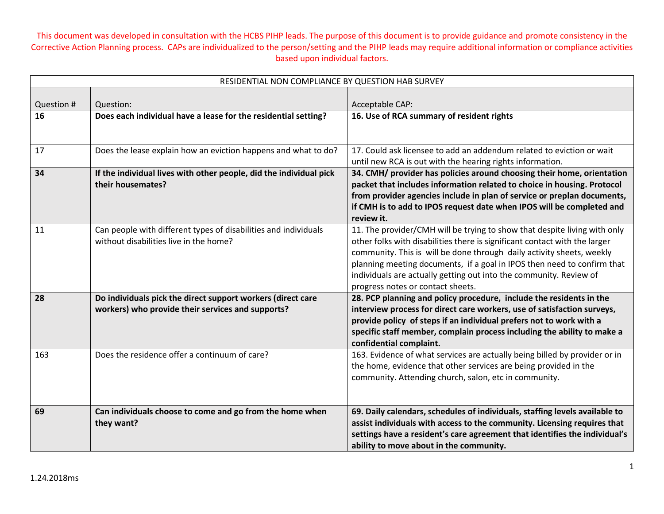| RESIDENTIAL NON COMPLIANCE BY QUESTION HAB SURVEY |                                                                                                                  |                                                                                                                                                                                                                                                                                                                                                                                                                        |
|---------------------------------------------------|------------------------------------------------------------------------------------------------------------------|------------------------------------------------------------------------------------------------------------------------------------------------------------------------------------------------------------------------------------------------------------------------------------------------------------------------------------------------------------------------------------------------------------------------|
| Question #                                        | Question:                                                                                                        | Acceptable CAP:                                                                                                                                                                                                                                                                                                                                                                                                        |
| 16                                                | Does each individual have a lease for the residential setting?                                                   | 16. Use of RCA summary of resident rights                                                                                                                                                                                                                                                                                                                                                                              |
| 17                                                | Does the lease explain how an eviction happens and what to do?                                                   | 17. Could ask licensee to add an addendum related to eviction or wait<br>until new RCA is out with the hearing rights information.                                                                                                                                                                                                                                                                                     |
| 34                                                | If the individual lives with other people, did the individual pick<br>their housemates?                          | 34. CMH/ provider has policies around choosing their home, orientation<br>packet that includes information related to choice in housing. Protocol<br>from provider agencies include in plan of service or preplan documents,<br>if CMH is to add to IPOS request date when IPOS will be completed and<br>review it.                                                                                                    |
| 11                                                | Can people with different types of disabilities and individuals<br>without disabilities live in the home?        | 11. The provider/CMH will be trying to show that despite living with only<br>other folks with disabilities there is significant contact with the larger<br>community. This is will be done through daily activity sheets, weekly<br>planning meeting documents, if a goal in IPOS then need to confirm that<br>individuals are actually getting out into the community. Review of<br>progress notes or contact sheets. |
| 28                                                | Do individuals pick the direct support workers (direct care<br>workers) who provide their services and supports? | 28. PCP planning and policy procedure, include the residents in the<br>interview process for direct care workers, use of satisfaction surveys,<br>provide policy of steps if an individual prefers not to work with a<br>specific staff member, complain process including the ability to make a<br>confidential complaint.                                                                                            |
| 163                                               | Does the residence offer a continuum of care?                                                                    | 163. Evidence of what services are actually being billed by provider or in<br>the home, evidence that other services are being provided in the<br>community. Attending church, salon, etc in community.                                                                                                                                                                                                                |
| 69                                                | Can individuals choose to come and go from the home when<br>they want?                                           | 69. Daily calendars, schedules of individuals, staffing levels available to<br>assist individuals with access to the community. Licensing requires that<br>settings have a resident's care agreement that identifies the individual's<br>ability to move about in the community.                                                                                                                                       |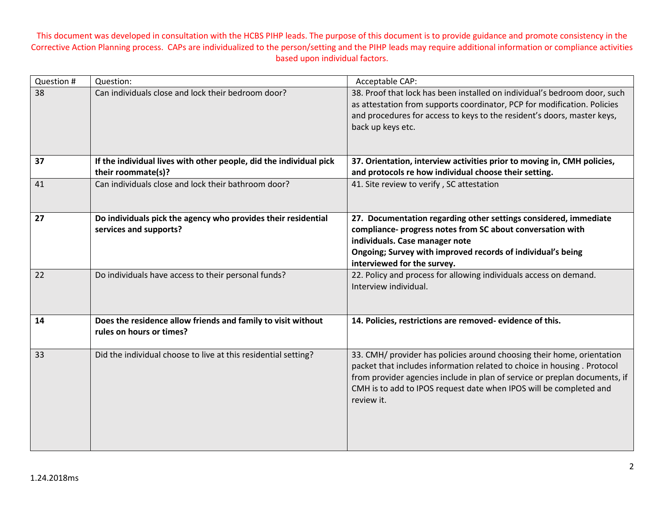| Question # | Question:                                                                                | Acceptable CAP:                                                                                                                                                                                                                                                                                                      |
|------------|------------------------------------------------------------------------------------------|----------------------------------------------------------------------------------------------------------------------------------------------------------------------------------------------------------------------------------------------------------------------------------------------------------------------|
| 38         | Can individuals close and lock their bedroom door?                                       | 38. Proof that lock has been installed on individual's bedroom door, such<br>as attestation from supports coordinator, PCP for modification. Policies<br>and procedures for access to keys to the resident's doors, master keys,<br>back up keys etc.                                                                |
| 37         | If the individual lives with other people, did the individual pick<br>their roommate(s)? | 37. Orientation, interview activities prior to moving in, CMH policies,<br>and protocols re how individual choose their setting.                                                                                                                                                                                     |
| 41         | Can individuals close and lock their bathroom door?                                      | 41. Site review to verify, SC attestation                                                                                                                                                                                                                                                                            |
| 27         | Do individuals pick the agency who provides their residential<br>services and supports?  | 27. Documentation regarding other settings considered, immediate<br>compliance- progress notes from SC about conversation with<br>individuals. Case manager note<br>Ongoing; Survey with improved records of individual's being<br>interviewed for the survey.                                                       |
| 22         | Do individuals have access to their personal funds?                                      | 22. Policy and process for allowing individuals access on demand.<br>Interview individual.                                                                                                                                                                                                                           |
| 14         | Does the residence allow friends and family to visit without<br>rules on hours or times? | 14. Policies, restrictions are removed-evidence of this.                                                                                                                                                                                                                                                             |
| 33         | Did the individual choose to live at this residential setting?                           | 33. CMH/ provider has policies around choosing their home, orientation<br>packet that includes information related to choice in housing . Protocol<br>from provider agencies include in plan of service or preplan documents, if<br>CMH is to add to IPOS request date when IPOS will be completed and<br>review it. |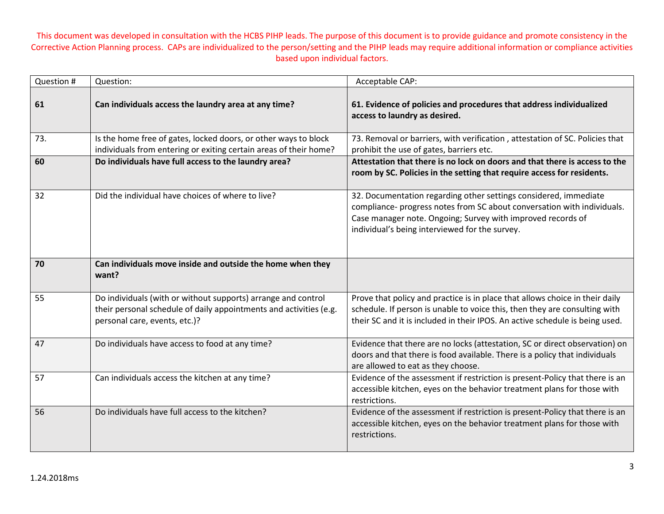| Question # | Question:                                                                                                                                                            | Acceptable CAP:                                                                                                                                                                                                                                              |
|------------|----------------------------------------------------------------------------------------------------------------------------------------------------------------------|--------------------------------------------------------------------------------------------------------------------------------------------------------------------------------------------------------------------------------------------------------------|
| 61         | Can individuals access the laundry area at any time?                                                                                                                 | 61. Evidence of policies and procedures that address individualized<br>access to laundry as desired.                                                                                                                                                         |
| 73.        | Is the home free of gates, locked doors, or other ways to block<br>individuals from entering or exiting certain areas of their home?                                 | 73. Removal or barriers, with verification, attestation of SC. Policies that<br>prohibit the use of gates, barriers etc.                                                                                                                                     |
| 60         | Do individuals have full access to the laundry area?                                                                                                                 | Attestation that there is no lock on doors and that there is access to the<br>room by SC. Policies in the setting that require access for residents.                                                                                                         |
| 32         | Did the individual have choices of where to live?                                                                                                                    | 32. Documentation regarding other settings considered, immediate<br>compliance- progress notes from SC about conversation with individuals.<br>Case manager note. Ongoing; Survey with improved records of<br>individual's being interviewed for the survey. |
| 70         | Can individuals move inside and outside the home when they<br>want?                                                                                                  |                                                                                                                                                                                                                                                              |
| 55         | Do individuals (with or without supports) arrange and control<br>their personal schedule of daily appointments and activities (e.g.<br>personal care, events, etc.)? | Prove that policy and practice is in place that allows choice in their daily<br>schedule. If person is unable to voice this, then they are consulting with<br>their SC and it is included in their IPOS. An active schedule is being used.                   |
| 47         | Do individuals have access to food at any time?                                                                                                                      | Evidence that there are no locks (attestation, SC or direct observation) on<br>doors and that there is food available. There is a policy that individuals<br>are allowed to eat as they choose.                                                              |
| 57         | Can individuals access the kitchen at any time?                                                                                                                      | Evidence of the assessment if restriction is present-Policy that there is an<br>accessible kitchen, eyes on the behavior treatment plans for those with<br>restrictions.                                                                                     |
| 56         | Do individuals have full access to the kitchen?                                                                                                                      | Evidence of the assessment if restriction is present-Policy that there is an<br>accessible kitchen, eyes on the behavior treatment plans for those with<br>restrictions.                                                                                     |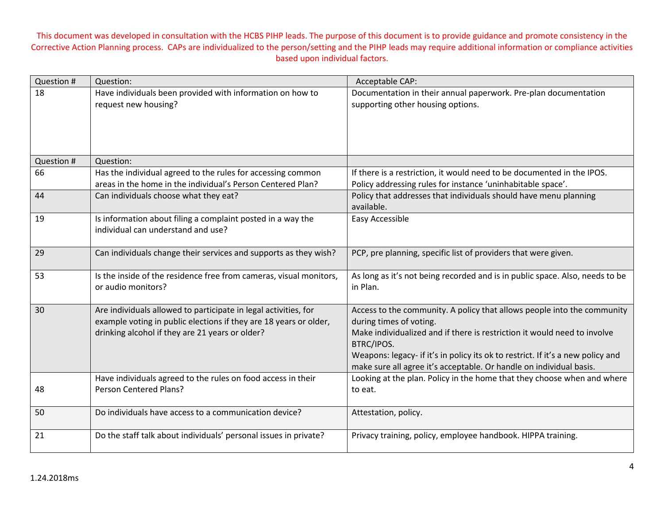| Question # | Question:                                                                                | Acceptable CAP:                                                                          |
|------------|------------------------------------------------------------------------------------------|------------------------------------------------------------------------------------------|
| 18         | Have individuals been provided with information on how to                                | Documentation in their annual paperwork. Pre-plan documentation                          |
|            | request new housing?                                                                     | supporting other housing options.                                                        |
|            |                                                                                          |                                                                                          |
|            |                                                                                          |                                                                                          |
|            |                                                                                          |                                                                                          |
| Question # | Question:                                                                                |                                                                                          |
| 66         | Has the individual agreed to the rules for accessing common                              | If there is a restriction, it would need to be documented in the IPOS.                   |
|            | areas in the home in the individual's Person Centered Plan?                              | Policy addressing rules for instance 'uninhabitable space'.                              |
| 44         | Can individuals choose what they eat?                                                    | Policy that addresses that individuals should have menu planning                         |
|            |                                                                                          | available.                                                                               |
| 19         | Is information about filing a complaint posted in a way the                              | Easy Accessible                                                                          |
|            | individual can understand and use?                                                       |                                                                                          |
|            |                                                                                          |                                                                                          |
| 29         | Can individuals change their services and supports as they wish?                         | PCP, pre planning, specific list of providers that were given.                           |
|            |                                                                                          |                                                                                          |
| 53         | Is the inside of the residence free from cameras, visual monitors,<br>or audio monitors? | As long as it's not being recorded and is in public space. Also, needs to be<br>in Plan. |
|            |                                                                                          |                                                                                          |
| 30         | Are individuals allowed to participate in legal activities, for                          | Access to the community. A policy that allows people into the community                  |
|            | example voting in public elections if they are 18 years or older,                        | during times of voting.                                                                  |
|            | drinking alcohol if they are 21 years or older?                                          | Make individualized and if there is restriction it would need to involve                 |
|            |                                                                                          | BTRC/IPOS.                                                                               |
|            |                                                                                          | Weapons: legacy- if it's in policy its ok to restrict. If it's a new policy and          |
|            |                                                                                          | make sure all agree it's acceptable. Or handle on individual basis.                      |
|            | Have individuals agreed to the rules on food access in their                             | Looking at the plan. Policy in the home that they choose when and where                  |
| 48         | Person Centered Plans?                                                                   | to eat.                                                                                  |
| 50         | Do individuals have access to a communication device?                                    |                                                                                          |
|            |                                                                                          | Attestation, policy.                                                                     |
| 21         | Do the staff talk about individuals' personal issues in private?                         | Privacy training, policy, employee handbook. HIPPA training.                             |
|            |                                                                                          |                                                                                          |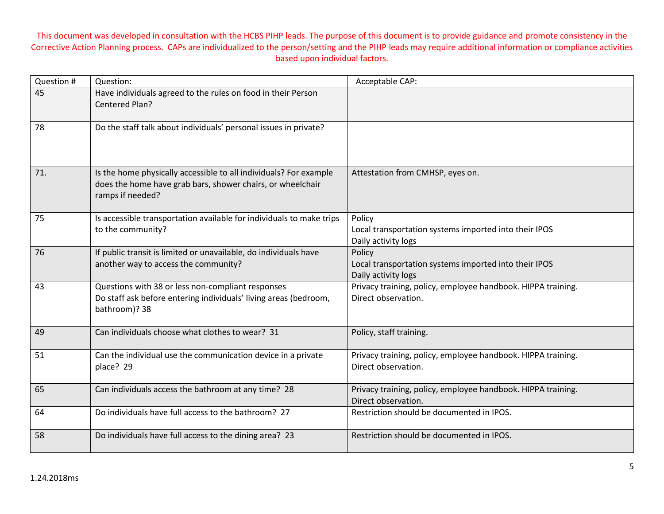| Question # | Question:                                                                                                                                           | Acceptable CAP:                                                                        |
|------------|-----------------------------------------------------------------------------------------------------------------------------------------------------|----------------------------------------------------------------------------------------|
| 45         | Have individuals agreed to the rules on food in their Person<br>Centered Plan?                                                                      |                                                                                        |
| 78         | Do the staff talk about individuals' personal issues in private?                                                                                    |                                                                                        |
| 71.        | Is the home physically accessible to all individuals? For example<br>does the home have grab bars, shower chairs, or wheelchair<br>ramps if needed? | Attestation from CMHSP, eyes on.                                                       |
| 75         | Is accessible transportation available for individuals to make trips<br>to the community?                                                           | Policy<br>Local transportation systems imported into their IPOS<br>Daily activity logs |
| 76         | If public transit is limited or unavailable, do individuals have<br>another way to access the community?                                            | Policy<br>Local transportation systems imported into their IPOS<br>Daily activity logs |
| 43         | Questions with 38 or less non-compliant responses<br>Do staff ask before entering individuals' living areas (bedroom,<br>bathroom)? 38              | Privacy training, policy, employee handbook. HIPPA training.<br>Direct observation.    |
| 49         | Can individuals choose what clothes to wear? 31                                                                                                     | Policy, staff training.                                                                |
| 51         | Can the individual use the communication device in a private<br>place? 29                                                                           | Privacy training, policy, employee handbook. HIPPA training.<br>Direct observation.    |
| 65         | Can individuals access the bathroom at any time? 28                                                                                                 | Privacy training, policy, employee handbook. HIPPA training.<br>Direct observation.    |
| 64         | Do individuals have full access to the bathroom? 27                                                                                                 | Restriction should be documented in IPOS.                                              |
| 58         | Do individuals have full access to the dining area? 23                                                                                              | Restriction should be documented in IPOS.                                              |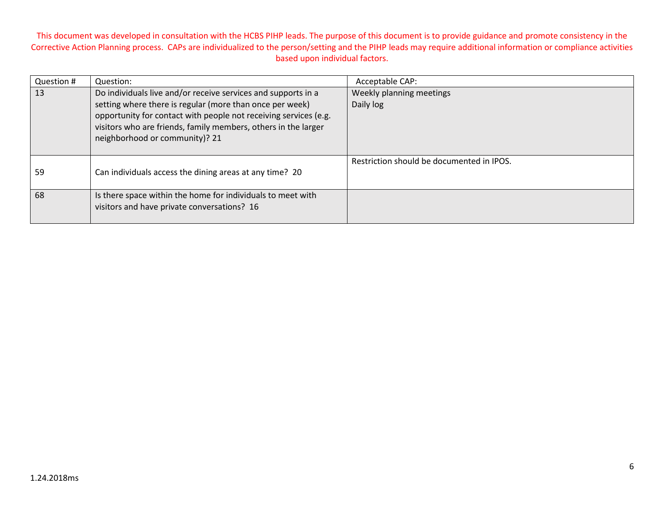| Question # | Question:                                                                                        | Acceptable CAP:                           |
|------------|--------------------------------------------------------------------------------------------------|-------------------------------------------|
| 13         | Do individuals live and/or receive services and supports in a                                    | Weekly planning meetings                  |
|            | setting where there is regular (more than once per week)                                         | Daily log                                 |
|            | opportunity for contact with people not receiving services (e.g.                                 |                                           |
|            | visitors who are friends, family members, others in the larger<br>neighborhood or community)? 21 |                                           |
|            |                                                                                                  |                                           |
|            |                                                                                                  | Restriction should be documented in IPOS. |
| 59         | Can individuals access the dining areas at any time? 20                                          |                                           |
|            |                                                                                                  |                                           |
| 68         | Is there space within the home for individuals to meet with                                      |                                           |
|            | visitors and have private conversations? 16                                                      |                                           |
|            |                                                                                                  |                                           |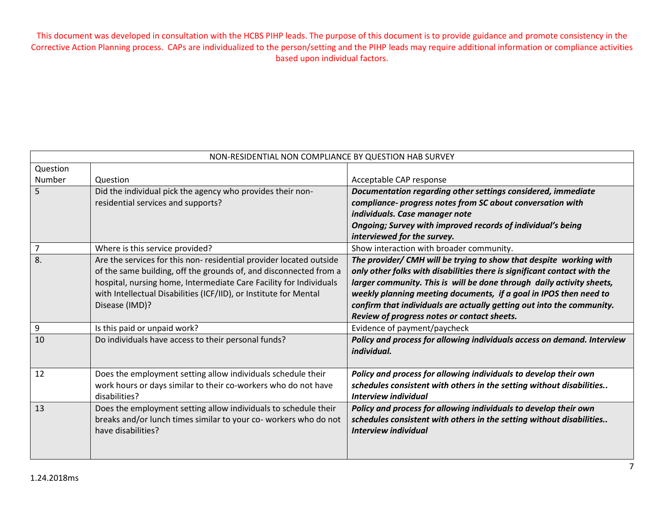| NON-RESIDENTIAL NON COMPLIANCE BY QUESTION HAB SURVEY |                                                                    |                                                                          |
|-------------------------------------------------------|--------------------------------------------------------------------|--------------------------------------------------------------------------|
| Question                                              |                                                                    |                                                                          |
| Number                                                | Question                                                           | Acceptable CAP response                                                  |
| 5                                                     | Did the individual pick the agency who provides their non-         | Documentation regarding other settings considered, immediate             |
|                                                       | residential services and supports?                                 | compliance- progress notes from SC about conversation with               |
|                                                       |                                                                    | individuals. Case manager note                                           |
|                                                       |                                                                    | Ongoing; Survey with improved records of individual's being              |
|                                                       |                                                                    | interviewed for the survey.                                              |
| $\overline{7}$                                        | Where is this service provided?                                    | Show interaction with broader community.                                 |
| 8.                                                    | Are the services for this non-residential provider located outside | The provider/ CMH will be trying to show that despite working with       |
|                                                       | of the same building, off the grounds of, and disconnected from a  | only other folks with disabilities there is significant contact with the |
|                                                       | hospital, nursing home, Intermediate Care Facility for Individuals | larger community. This is will be done through daily activity sheets,    |
|                                                       | with Intellectual Disabilities (ICF/IID), or Institute for Mental  | weekly planning meeting documents, if a goal in IPOS then need to        |
|                                                       | Disease (IMD)?                                                     | confirm that individuals are actually getting out into the community.    |
|                                                       |                                                                    | Review of progress notes or contact sheets.                              |
| 9                                                     | Is this paid or unpaid work?                                       | Evidence of payment/paycheck                                             |
| 10                                                    | Do individuals have access to their personal funds?                | Policy and process for allowing individuals access on demand. Interview  |
|                                                       |                                                                    | individual.                                                              |
|                                                       |                                                                    |                                                                          |
| 12                                                    | Does the employment setting allow individuals schedule their       | Policy and process for allowing individuals to develop their own         |
|                                                       | work hours or days similar to their co-workers who do not have     | schedules consistent with others in the setting without disabilities     |
|                                                       | disabilities?                                                      | <b>Interview individual</b>                                              |
| 13                                                    | Does the employment setting allow individuals to schedule their    | Policy and process for allowing individuals to develop their own         |
|                                                       | breaks and/or lunch times similar to your co- workers who do not   | schedules consistent with others in the setting without disabilities     |
|                                                       | have disabilities?                                                 | Interview individual                                                     |
|                                                       |                                                                    |                                                                          |
|                                                       |                                                                    |                                                                          |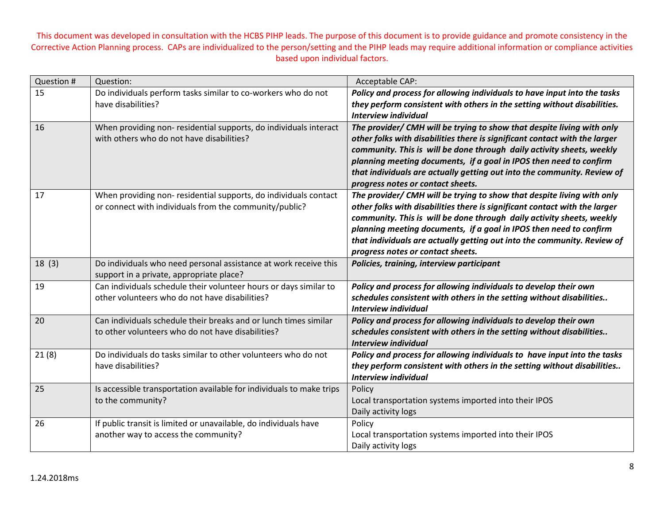| Question # | Question:                                                                                                             | Acceptable CAP:                                                                                                                             |
|------------|-----------------------------------------------------------------------------------------------------------------------|---------------------------------------------------------------------------------------------------------------------------------------------|
| 15         | Do individuals perform tasks similar to co-workers who do not                                                         | Policy and process for allowing individuals to have input into the tasks                                                                    |
|            | have disabilities?                                                                                                    | they perform consistent with others in the setting without disabilities.                                                                    |
|            |                                                                                                                       | Interview individual                                                                                                                        |
| 16         | When providing non-residential supports, do individuals interact                                                      | The provider/ CMH will be trying to show that despite living with only                                                                      |
|            | with others who do not have disabilities?                                                                             | other folks with disabilities there is significant contact with the larger                                                                  |
|            |                                                                                                                       | community. This is will be done through daily activity sheets, weekly<br>planning meeting documents, if a goal in IPOS then need to confirm |
|            |                                                                                                                       | that individuals are actually getting out into the community. Review of                                                                     |
|            |                                                                                                                       | progress notes or contact sheets.                                                                                                           |
| 17         | When providing non-residential supports, do individuals contact                                                       | The provider/ CMH will be trying to show that despite living with only                                                                      |
|            | or connect with individuals from the community/public?                                                                | other folks with disabilities there is significant contact with the larger                                                                  |
|            |                                                                                                                       | community. This is will be done through daily activity sheets, weekly                                                                       |
|            |                                                                                                                       | planning meeting documents, if a goal in IPOS then need to confirm                                                                          |
|            |                                                                                                                       | that individuals are actually getting out into the community. Review of<br>progress notes or contact sheets.                                |
| 18(3)      | Do individuals who need personal assistance at work receive this                                                      | Policies, training, interview participant                                                                                                   |
|            | support in a private, appropriate place?                                                                              |                                                                                                                                             |
| 19         | Can individuals schedule their volunteer hours or days similar to                                                     | Policy and process for allowing individuals to develop their own                                                                            |
|            | other volunteers who do not have disabilities?                                                                        | schedules consistent with others in the setting without disabilities                                                                        |
|            |                                                                                                                       | <b>Interview individual</b>                                                                                                                 |
| 20         | Can individuals schedule their breaks and or lunch times similar<br>to other volunteers who do not have disabilities? | Policy and process for allowing individuals to develop their own                                                                            |
|            |                                                                                                                       | schedules consistent with others in the setting without disabilities<br>Interview individual                                                |
| 21(8)      | Do individuals do tasks similar to other volunteers who do not                                                        | Policy and process for allowing individuals to have input into the tasks                                                                    |
|            | have disabilities?                                                                                                    | they perform consistent with others in the setting without disabilities                                                                     |
|            |                                                                                                                       | <b>Interview individual</b>                                                                                                                 |
| 25         | Is accessible transportation available for individuals to make trips                                                  | Policy                                                                                                                                      |
|            | to the community?                                                                                                     | Local transportation systems imported into their IPOS                                                                                       |
|            |                                                                                                                       | Daily activity logs                                                                                                                         |
| 26         | If public transit is limited or unavailable, do individuals have<br>another way to access the community?              | Policy<br>Local transportation systems imported into their IPOS                                                                             |
|            |                                                                                                                       | Daily activity logs                                                                                                                         |